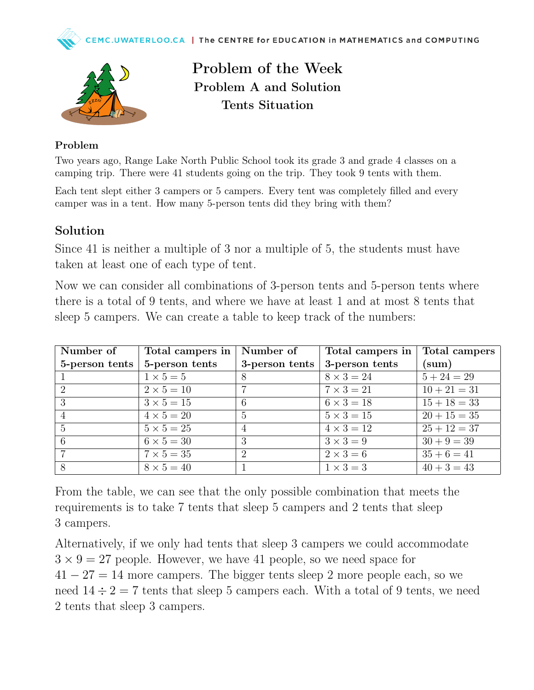



Problem of the Week Problem A and Solution Tents Situation

## Problem

Two years ago, Range Lake North Public School took its grade 3 and grade 4 classes on a camping trip. There were 41 students going on the trip. They took 9 tents with them.

Each tent slept either 3 campers or 5 campers. Every tent was completely filled and every camper was in a tent. How many 5-person tents did they bring with them?

## Solution

Since 41 is neither a multiple of 3 nor a multiple of 5, the students must have taken at least one of each type of tent.

Now we can consider all combinations of 3-person tents and 5-person tents where there is a total of 9 tents, and where we have at least 1 and at most 8 tents that sleep 5 campers. We can create a table to keep track of the numbers:

| Number of                   | Total campers in  | Number of      | Total campers in  | Total campers  |
|-----------------------------|-------------------|----------------|-------------------|----------------|
| 5-person tents              | 5-person tents    | 3-person tents | 3-person tents    | (sum)          |
|                             | $1 \times 5 = 5$  | 8              | $8 \times 3 = 24$ | $5 + 24 = 29$  |
| $\mathcal{D}_{\mathcal{L}}$ | $2 \times 5 = 10$ |                | $7 \times 3 = 21$ | $10 + 21 = 31$ |
| 3                           | $3 \times 5 = 15$ | 6              | $6 \times 3 = 18$ | $15 + 18 = 33$ |
|                             | $4 \times 5 = 20$ | 5              | $5 \times 3 = 15$ | $20 + 15 = 35$ |
| $\overline{5}$              | $5 \times 5 = 25$ | 4              | $4 \times 3 = 12$ | $25 + 12 = 37$ |
| 6                           | $6 \times 5 = 30$ | 3              | $3 \times 3 = 9$  | $30 + 9 = 39$  |
|                             | $7 \times 5 = 35$ | $\mathcal{D}$  | $2 \times 3 = 6$  | $35 + 6 = 41$  |
|                             | $8 \times 5 = 40$ |                | $1 \times 3 = 3$  | $40 + 3 = 43$  |

From the table, we can see that the only possible combination that meets the requirements is to take 7 tents that sleep 5 campers and 2 tents that sleep 3 campers.

Alternatively, if we only had tents that sleep 3 campers we could accommodate  $3 \times 9 = 27$  people. However, we have 41 people, so we need space for  $41 - 27 = 14$  more campers. The bigger tents sleep 2 more people each, so we need  $14 \div 2 = 7$  tents that sleep 5 campers each. With a total of 9 tents, we need 2 tents that sleep 3 campers.